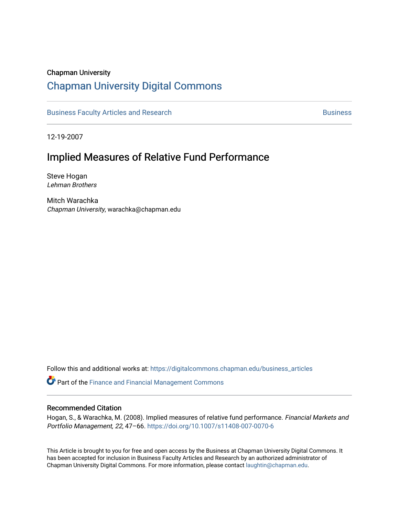#### Chapman University

### [Chapman University Digital Commons](https://digitalcommons.chapman.edu/)

[Business Faculty Articles and Research](https://digitalcommons.chapman.edu/business_articles) [Business](https://digitalcommons.chapman.edu/business) **Business** Business

12-19-2007

## Implied Measures of Relative Fund Performance

Steve Hogan Lehman Brothers

Mitch Warachka Chapman University, warachka@chapman.edu

Follow this and additional works at: [https://digitalcommons.chapman.edu/business\\_articles](https://digitalcommons.chapman.edu/business_articles?utm_source=digitalcommons.chapman.edu%2Fbusiness_articles%2F113&utm_medium=PDF&utm_campaign=PDFCoverPages) 

Part of the [Finance and Financial Management Commons](http://network.bepress.com/hgg/discipline/631?utm_source=digitalcommons.chapman.edu%2Fbusiness_articles%2F113&utm_medium=PDF&utm_campaign=PDFCoverPages) 

#### Recommended Citation

Hogan, S., & Warachka, M. (2008). Implied measures of relative fund performance. Financial Markets and Portfolio Management, 22, 47–66.<https://doi.org/10.1007/s11408-007-0070-6>

This Article is brought to you for free and open access by the Business at Chapman University Digital Commons. It has been accepted for inclusion in Business Faculty Articles and Research by an authorized administrator of Chapman University Digital Commons. For more information, please contact [laughtin@chapman.edu](mailto:laughtin@chapman.edu).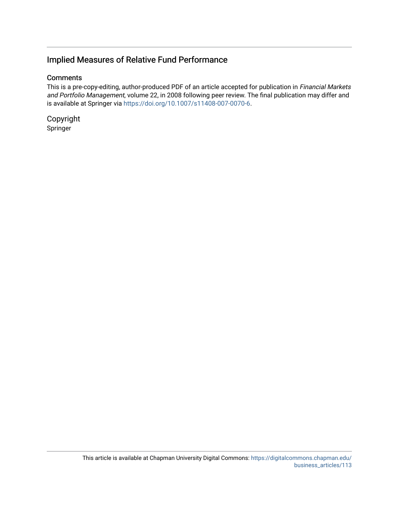### Implied Measures of Relative Fund Performance

#### **Comments**

This is a pre-copy-editing, author-produced PDF of an article accepted for publication in Financial Markets and Portfolio Management, volume 22, in 2008 following peer review. The final publication may differ and is available at Springer via <https://doi.org/10.1007/s11408-007-0070-6>.

Copyright Springer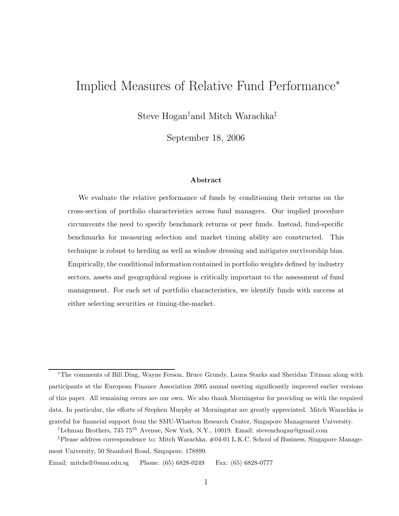# Implied Measures of Relative Fund Performance<sup>∗</sup>

Steve Hogan† and Mitch Warachka‡

September 18, 2006

#### **Abstract**

We evaluate the relative performance of funds by conditioning their returns on the cross-section of portfolio characteristics across fund managers. Our implied procedure circumvents the need to specify benchmark returns or peer funds. Instead, fund-specific benchmarks for measuring selection and market timing ability are constructed. This technique is robust to herding as well as window dressing and mitigates survivorship bias. Empirically, the conditional information contained in portfolio weights defined by industry sectors, assets and geographical regions is critically important to the assessment of fund management. For each set of portfolio characteristics, we identify funds with success at either selecting securities or timing-the-market.

<sup>∗</sup>The comments of Bill Ding, Wayne Ferson, Bruce Grundy, Laura Starks and Sheridan Titman along with participants at the European Finance Association 2005 annual meeting significantly improved earlier versions of this paper. All remaining errors are our own. We also thank Morningstar for providing us with the required data. In particular, the efforts of Stephen Murphy at Morningstar are greatly appreciated. Mitch Warachka is grateful for financial support from the SMU-Wharton Research Center, Singapore Management University.

<sup>†</sup>Lehman Brothers, 745 75*th* Avenue, New York, N.Y., 10019. Email: stevenchogan@gmail.com

<sup>‡</sup>Please address correspondence to: Mitch Warachka, #04-01 L.K.C. School of Business, Singapore Management University, 50 Stamford Road, Singapore, 178899.

Email: mitchell@smu.edu.sg Phone: (65) 6828-0249 Fax: (65) 6828-0777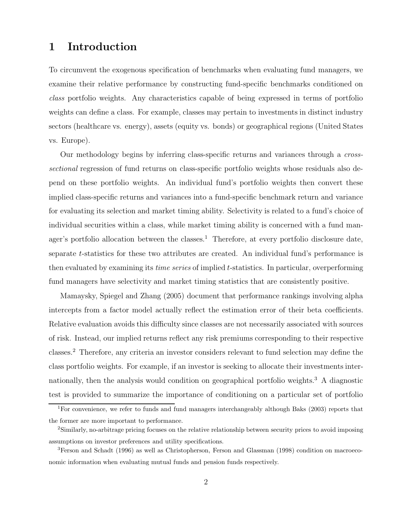# **1 Introduction**

To circumvent the exogenous specification of benchmarks when evaluating fund managers, we examine their relative performance by constructing fund-specific benchmarks conditioned on *class* portfolio weights. Any characteristics capable of being expressed in terms of portfolio weights can define a class. For example, classes may pertain to investments in distinct industry sectors (healthcare vs. energy), assets (equity vs. bonds) or geographical regions (United States vs. Europe).

Our methodology begins by inferring class-specific returns and variances through a *crosssectional* regression of fund returns on class-specific portfolio weights whose residuals also depend on these portfolio weights. An individual fund's portfolio weights then convert these implied class-specific returns and variances into a fund-specific benchmark return and variance for evaluating its selection and market timing ability. Selectivity is related to a fund's choice of individual securities within a class, while market timing ability is concerned with a fund manager's portfolio allocation between the classes.<sup>1</sup> Therefore, at every portfolio disclosure date, separate t-statistics for these two attributes are created. An individual fund's performance is then evaluated by examining its *time series* of implied t-statistics. In particular, overperforming fund managers have selectivity and market timing statistics that are consistently positive.

Mamaysky, Spiegel and Zhang (2005) document that performance rankings involving alpha intercepts from a factor model actually reflect the estimation error of their beta coefficients. Relative evaluation avoids this difficulty since classes are not necessarily associated with sources of risk. Instead, our implied returns reflect any risk premiums corresponding to their respective classes.<sup>2</sup> Therefore, any criteria an investor considers relevant to fund selection may define the class portfolio weights. For example, if an investor is seeking to allocate their investments internationally, then the analysis would condition on geographical portfolio weights.<sup>3</sup> A diagnostic test is provided to summarize the importance of conditioning on a particular set of portfolio

<sup>&</sup>lt;sup>1</sup>For convenience, we refer to funds and fund managers interchangeably although Baks (2003) reports that the former are more important to performance.

<sup>2</sup>Similarly, no-arbitrage pricing focuses on the relative relationship between security prices to avoid imposing assumptions on investor preferences and utility specifications.

<sup>3</sup>Ferson and Schadt (1996) as well as Christopherson, Ferson and Glassman (1998) condition on macroeconomic information when evaluating mutual funds and pension funds respectively.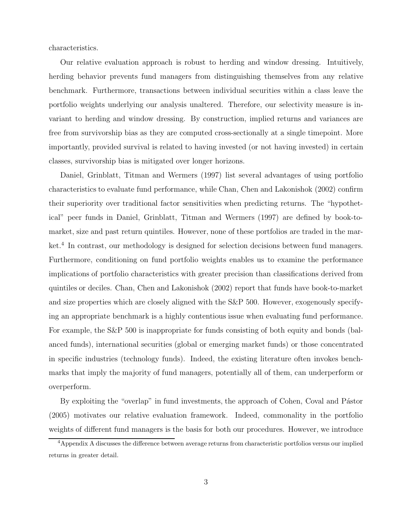characteristics.

Our relative evaluation approach is robust to herding and window dressing. Intuitively, herding behavior prevents fund managers from distinguishing themselves from any relative benchmark. Furthermore, transactions between individual securities within a class leave the portfolio weights underlying our analysis unaltered. Therefore, our selectivity measure is invariant to herding and window dressing. By construction, implied returns and variances are free from survivorship bias as they are computed cross-sectionally at a single timepoint. More importantly, provided survival is related to having invested (or not having invested) in certain classes, survivorship bias is mitigated over longer horizons.

Daniel, Grinblatt, Titman and Wermers (1997) list several advantages of using portfolio characteristics to evaluate fund performance, while Chan, Chen and Lakonishok (2002) confirm their superiority over traditional factor sensitivities when predicting returns. The "hypothetical" peer funds in Daniel, Grinblatt, Titman and Wermers (1997) are defined by book-tomarket, size and past return quintiles. However, none of these portfolios are traded in the market.<sup>4</sup> In contrast, our methodology is designed for selection decisions between fund managers. Furthermore, conditioning on fund portfolio weights enables us to examine the performance implications of portfolio characteristics with greater precision than classifications derived from quintiles or deciles. Chan, Chen and Lakonishok (2002) report that funds have book-to-market and size properties which are closely aligned with the S&P 500. However, exogenously specifying an appropriate benchmark is a highly contentious issue when evaluating fund performance. For example, the S&P 500 is inappropriate for funds consisting of both equity and bonds (balanced funds), international securities (global or emerging market funds) or those concentrated in specific industries (technology funds). Indeed, the existing literature often invokes benchmarks that imply the majority of fund managers, potentially all of them, can underperform or overperform.

By exploiting the "overlap" in fund investments, the approach of Cohen, Coval and Pástor (2005) motivates our relative evaluation framework. Indeed, commonality in the portfolio weights of different fund managers is the basis for both our procedures. However, we introduce

<sup>4</sup>Appendix A discusses the difference between average returns from characteristic portfolios versus our implied returns in greater detail.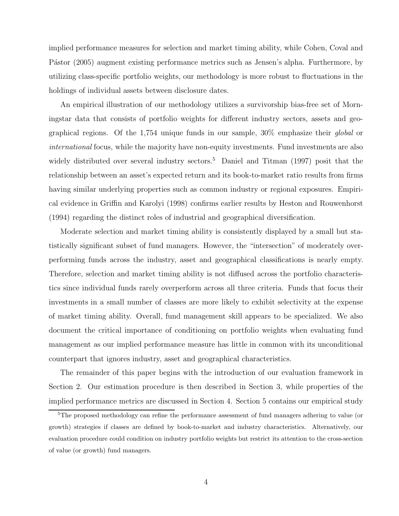implied performance measures for selection and market timing ability, while Cohen, Coval and Pástor (2005) augment existing performance metrics such as Jensen's alpha. Furthermore, by utilizing class-specific portfolio weights, our methodology is more robust to fluctuations in the holdings of individual assets between disclosure dates.

An empirical illustration of our methodology utilizes a survivorship bias-free set of Morningstar data that consists of portfolio weights for different industry sectors, assets and geographical regions. Of the 1,754 unique funds in our sample, 30% emphasize their *global* or *international* focus, while the majority have non-equity investments. Fund investments are also widely distributed over several industry sectors.<sup>5</sup> Daniel and Titman (1997) posit that the relationship between an asset's expected return and its book-to-market ratio results from firms having similar underlying properties such as common industry or regional exposures. Empirical evidence in Griffin and Karolyi (1998) confirms earlier results by Heston and Rouwenhorst (1994) regarding the distinct roles of industrial and geographical diversification.

Moderate selection and market timing ability is consistently displayed by a small but statistically significant subset of fund managers. However, the "intersection" of moderately overperforming funds across the industry, asset and geographical classifications is nearly empty. Therefore, selection and market timing ability is not diffused across the portfolio characteristics since individual funds rarely overperform across all three criteria. Funds that focus their investments in a small number of classes are more likely to exhibit selectivity at the expense of market timing ability. Overall, fund management skill appears to be specialized. We also document the critical importance of conditioning on portfolio weights when evaluating fund management as our implied performance measure has little in common with its unconditional counterpart that ignores industry, asset and geographical characteristics.

The remainder of this paper begins with the introduction of our evaluation framework in Section 2. Our estimation procedure is then described in Section 3, while properties of the implied performance metrics are discussed in Section 4. Section 5 contains our empirical study

<sup>&</sup>lt;sup>5</sup>The proposed methodology can refine the performance assessment of fund managers adhering to value (or growth) strategies if classes are defined by book-to-market and industry characteristics. Alternatively, our evaluation procedure could condition on industry portfolio weights but restrict its attention to the cross-section of value (or growth) fund managers.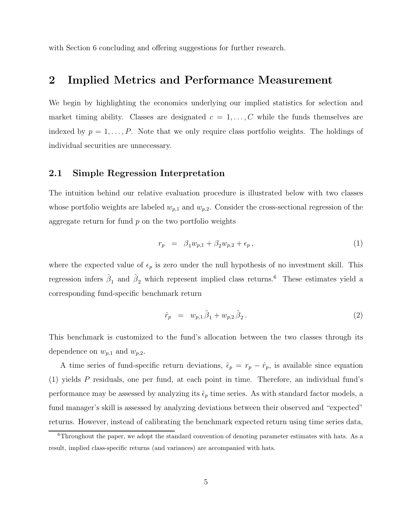with Section 6 concluding and offering suggestions for further research.

### **2 Implied Metrics and Performance Measurement**

We begin by highlighting the economics underlying our implied statistics for selection and market timing ability. Classes are designated  $c = 1, \ldots, C$  while the funds themselves are indexed by  $p = 1, \ldots, P$ . Note that we only require class portfolio weights. The holdings of individual securities are unnecessary.

#### **2.1 Simple Regression Interpretation**

The intuition behind our relative evaluation procedure is illustrated below with two classes whose portfolio weights are labeled  $w_{p,1}$  and  $w_{p,2}$ . Consider the cross-sectional regression of the aggregate return for fund  $p$  on the two portfolio weights

$$
r_p = \beta_1 w_{p,1} + \beta_2 w_{p,2} + \epsilon_p, \qquad (1)
$$

where the expected value of  $\epsilon_p$  is zero under the null hypothesis of no investment skill. This regression infers  $\hat{\beta}_1$  and  $\hat{\beta}_2$  which represent implied class returns.<sup>6</sup> These estimates yield a corresponding fund-specific benchmark return

$$
\hat{r}_p = w_{p,1} \hat{\beta}_1 + w_{p,2} \hat{\beta}_2. \tag{2}
$$

This benchmark is customized to the fund's allocation between the two classes through its dependence on  $w_{p,1}$  and  $w_{p,2}$ .

A time series of fund-specific return deviations,  $\hat{\epsilon}_p = r_p - \hat{r}_p$ , is available since equation (1) yields P residuals, one per fund, at each point in time. Therefore, an individual fund's performance may be assessed by analyzing its  $\hat{\epsilon}_p$  time series. As with standard factor models, a fund manager's skill is assessed by analyzing deviations between their observed and "expected" returns. However, instead of calibrating the benchmark expected return using time series data,

<sup>6</sup>Throughout the paper, we adopt the standard convention of denoting parameter estimates with hats. As a result, implied class-specific returns (and variances) are accompanied with hats.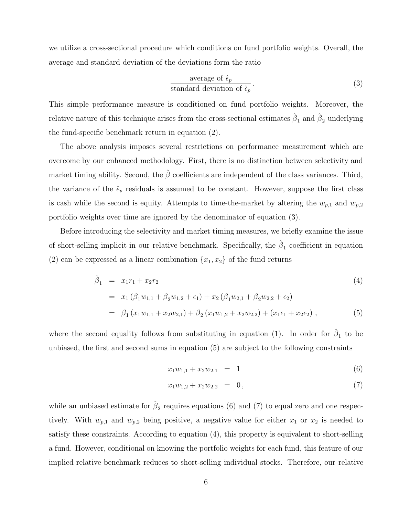we utilize a cross-sectional procedure which conditions on fund portfolio weights. Overall, the average and standard deviation of the deviations form the ratio

$$
\frac{\text{average of } \hat{\epsilon}_p}{\text{standard deviation of } \hat{\epsilon}_p} \,. \tag{3}
$$

This simple performance measure is conditioned on fund portfolio weights. Moreover, the relative nature of this technique arises from the cross-sectional estimates  $\hat{\beta}_1$  and  $\hat{\beta}_2$  underlying the fund-specific benchmark return in equation (2).

The above analysis imposes several restrictions on performance measurement which are overcome by our enhanced methodology. First, there is no distinction between selectivity and market timing ability. Second, the  $\hat{\beta}$  coefficients are independent of the class variances. Third, the variance of the  $\hat{\epsilon}_p$  residuals is assumed to be constant. However, suppose the first class is cash while the second is equity. Attempts to time-the-market by altering the  $w_{p,1}$  and  $w_{p,2}$ portfolio weights over time are ignored by the denominator of equation (3).

Before introducing the selectivity and market timing measures, we briefly examine the issue of short-selling implicit in our relative benchmark. Specifically, the  $\hat{\beta}_1$  coefficient in equation (2) can be expressed as a linear combination  $\{x_1, x_2\}$  of the fund returns

$$
\hat{\beta}_1 = x_1 r_1 + x_2 r_2
$$
\n
$$
= x_1 (\beta_1 w_{1,1} + \beta_2 w_{1,2} + \epsilon_1) + x_2 (\beta_1 w_{2,1} + \beta_2 w_{2,2} + \epsilon_2)
$$
\n
$$
= \beta_1 (x_1 w_{1,1} + x_2 w_{2,1}) + \beta_2 (x_1 w_{1,2} + x_2 w_{2,2}) + (x_1 \epsilon_1 + x_2 \epsilon_2), \qquad (5)
$$

where the second equality follows from substituting in equation (1). In order for  $\hat{\beta}_1$  to be unbiased, the first and second sums in equation (5) are subject to the following constraints

$$
x_1 w_{1,1} + x_2 w_{2,1} = 1 \tag{6}
$$

$$
x_1 w_{1,2} + x_2 w_{2,2} = 0, \t\t(7)
$$

while an unbiased estimate for  $\hat{\beta}_2$  requires equations (6) and (7) to equal zero and one respectively. With  $w_{p,1}$  and  $w_{p,2}$  being positive, a negative value for either  $x_1$  or  $x_2$  is needed to satisfy these constraints. According to equation (4), this property is equivalent to short-selling a fund. However, conditional on knowing the portfolio weights for each fund, this feature of our implied relative benchmark reduces to short-selling individual stocks. Therefore, our relative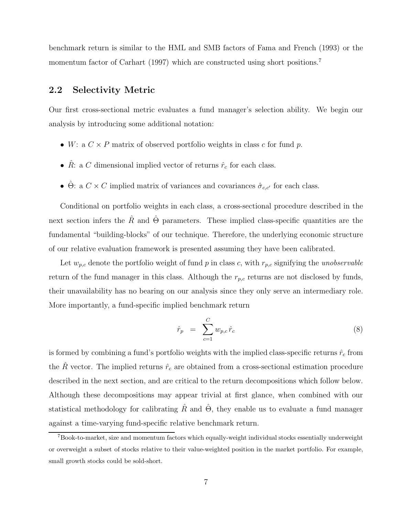benchmark return is similar to the HML and SMB factors of Fama and French (1993) or the momentum factor of Carhart (1997) which are constructed using short positions.<sup>7</sup>

### **2.2 Selectivity Metric**

Our first cross-sectional metric evaluates a fund manager's selection ability. We begin our analysis by introducing some additional notation:

- W: a  $C \times P$  matrix of observed portfolio weights in class c for fund p.
- $\hat{R}$ : a C dimensional implied vector of returns  $\hat{r}_c$  for each class.
- $\hat{\Theta}$ : a  $C \times C$  implied matrix of variances and covariances  $\hat{\sigma}_{c,c'}$  for each class.

Conditional on portfolio weights in each class, a cross-sectional procedure described in the next section infers the  $\hat{R}$  and  $\hat{\Theta}$  parameters. These implied class-specific quantities are the fundamental "building-blocks" of our technique. Therefore, the underlying economic structure of our relative evaluation framework is presented assuming they have been calibrated.

Let  $w_{p,c}$  denote the portfolio weight of fund p in class c, with  $r_{p,c}$  signifying the *unobservable* return of the fund manager in this class. Although the  $r_{p,c}$  returns are not disclosed by funds, their unavailability has no bearing on our analysis since they only serve an intermediary role. More importantly, a fund-specific implied benchmark return

$$
\hat{r}_p = \sum_{c=1}^{C} w_{p,c} \hat{r}_c \tag{8}
$$

is formed by combining a fund's portfolio weights with the implied class-specific returns  $\hat{r}_c$  from the  $\hat{R}$  vector. The implied returns  $\hat{r}_c$  are obtained from a cross-sectional estimation procedure described in the next section, and are critical to the return decompositions which follow below. Although these decompositions may appear trivial at first glance, when combined with our statistical methodology for calibrating  $\hat{R}$  and  $\hat{\Theta}$ , they enable us to evaluate a fund manager against a time-varying fund-specific relative benchmark return.

<sup>7</sup>Book-to-market, size and momentum factors which equally-weight individual stocks essentially underweight or overweight a subset of stocks relative to their value-weighted position in the market portfolio. For example, small growth stocks could be sold-short.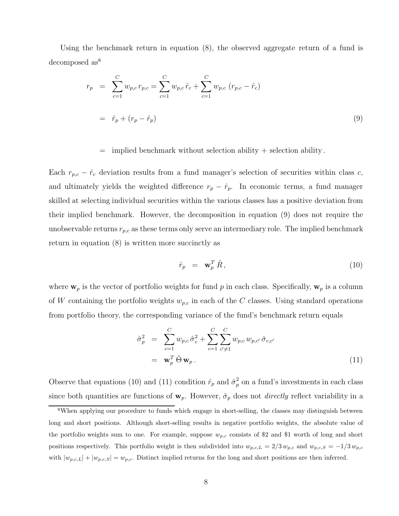Using the benchmark return in equation (8), the observed aggregate return of a fund is decomposed  $\mathrm{as}^8$ 

$$
r_p = \sum_{c=1}^{C} w_{p,c} r_{p,c} = \sum_{c=1}^{C} w_{p,c} \hat{r}_c + \sum_{c=1}^{C} w_{p,c} (r_{p,c} - \hat{r}_c)
$$
  
=  $\hat{r}_p + (r_p - \hat{r}_p)$  (9)

 $=$  implied benchmark without selection ability  $+$  selection ability.

Each  $r_{p,c} - \hat{r}_c$  deviation results from a fund manager's selection of securities within class c, and ultimately yields the weighted difference  $r_p - \hat{r}_p$ . In economic terms, a fund manager skilled at selecting individual securities within the various classes has a positive deviation from their implied benchmark. However, the decomposition in equation (9) does not require the unobservable returns  $r_{p,c}$  as these terms only serve an intermediary role. The implied benchmark return in equation (8) is written more succinctly as

$$
\hat{r}_p = \mathbf{w}_p^T \,\hat{R},\tag{10}
$$

where  $\mathbf{w}_p$  is the vector of portfolio weights for fund p in each class. Specifically,  $\mathbf{w}_p$  is a column of W containing the portfolio weights  $w_{p,c}$  in each of the C classes. Using standard operations from portfolio theory, the corresponding variance of the fund's benchmark return equals

$$
\hat{\sigma}_p^2 = \sum_{c=1}^C w_{p,c} \hat{\sigma}_c^2 + \sum_{c=1}^C \sum_{c' \neq 1}^C w_{p,c} w_{p,c'} \hat{\sigma}_{c,c'}
$$
\n
$$
= \mathbf{w}_p^T \hat{\Theta} \mathbf{w}_p.
$$
\n(11)

Observe that equations (10) and (11) condition  $\hat{r}_p$  and  $\hat{\sigma}_p^2$  on a fund's investments in each class since both quantities are functions of  $w_p$ . However,  $\hat{\sigma}_p$  does not *directly* reflect variability in a

<sup>&</sup>lt;sup>8</sup>When applying our procedure to funds which engage in short-selling, the classes may distinguish between long and short positions. Although short-selling results in negative portfolio weights, the absolute value of the portfolio weights sum to one. For example, suppose  $w_{p,c}$  consists of \$2 and \$1 worth of long and short positions respectively. This portfolio weight is then subdivided into  $w_{p,c,L} = 2/3 w_{p,c}$  and  $w_{p,c,S} = -1/3 w_{p,c}$ with  $|w_{p,c,L}| + |w_{p,c,S}| = w_{p,c}$ . Distinct implied returns for the long and short positions are then inferred.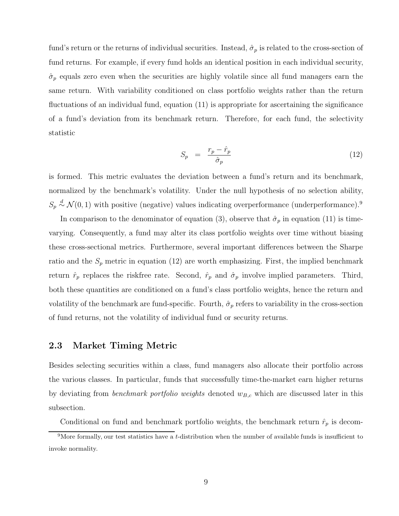fund's return or the returns of individual securities. Instead,  $\hat{\sigma}_p$  is related to the cross-section of fund returns. For example, if every fund holds an identical position in each individual security,  $\hat{\sigma}_p$  equals zero even when the securities are highly volatile since all fund managers earn the same return. With variability conditioned on class portfolio weights rather than the return fluctuations of an individual fund, equation (11) is appropriate for ascertaining the significance of a fund's deviation from its benchmark return. Therefore, for each fund, the selectivity statistic

$$
S_p = \frac{r_p - \hat{r}_p}{\hat{\sigma}_p} \tag{12}
$$

is formed. This metric evaluates the deviation between a fund's return and its benchmark, normalized by the benchmark's volatility. Under the null hypothesis of no selection ability,  $S_p \stackrel{d}{\sim} \mathcal{N}(0,1)$  with positive (negative) values indicating overperformance (underperformance).<sup>9</sup>

In comparison to the denominator of equation (3), observe that  $\hat{\sigma}_p$  in equation (11) is timevarying. Consequently, a fund may alter its class portfolio weights over time without biasing these cross-sectional metrics. Furthermore, several important differences between the Sharpe ratio and the  $S_p$  metric in equation (12) are worth emphasizing. First, the implied benchmark return  $\hat{r}_p$  replaces the riskfree rate. Second,  $\hat{r}_p$  and  $\hat{\sigma}_p$  involve implied parameters. Third, both these quantities are conditioned on a fund's class portfolio weights, hence the return and volatility of the benchmark are fund-specific. Fourth,  $\hat{\sigma}_p$  refers to variability in the cross-section of fund returns, not the volatility of individual fund or security returns.

#### **2.3 Market Timing Metric**

Besides selecting securities within a class, fund managers also allocate their portfolio across the various classes. In particular, funds that successfully time-the-market earn higher returns by deviating from *benchmark portfolio weights* denoted  $w_{B,c}$  which are discussed later in this subsection.

Conditional on fund and benchmark portfolio weights, the benchmark return  $\hat{r}_p$  is decom-

<sup>&</sup>lt;sup>9</sup>More formally, our test statistics have a t-distribution when the number of available funds is insufficient to invoke normality.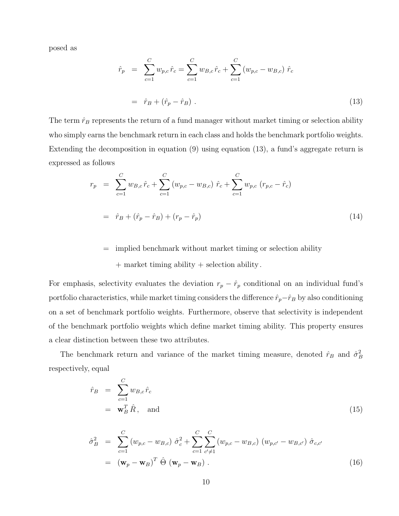posed as

$$
\hat{r}_p = \sum_{c=1}^C w_{p,c} \hat{r}_c = \sum_{c=1}^C w_{B,c} \hat{r}_c + \sum_{c=1}^C (w_{p,c} - w_{B,c}) \hat{r}_c \n= \hat{r}_B + (\hat{r}_p - \hat{r}_B).
$$
\n(13)

The term  $\hat{r}_B$  represents the return of a fund manager without market timing or selection ability who simply earns the benchmark return in each class and holds the benchmark portfolio weights. Extending the decomposition in equation (9) using equation (13), a fund's aggregate return is expressed as follows

$$
r_p = \sum_{c=1}^{C} w_{B,c} \hat{r}_c + \sum_{c=1}^{C} (w_{p,c} - w_{B,c}) \hat{r}_c + \sum_{c=1}^{C} w_{p,c} (r_{p,c} - \hat{r}_c)
$$
  

$$
= \hat{r}_B + (\hat{r}_p - \hat{r}_B) + (r_p - \hat{r}_p)
$$
(14)

#### = implied benchmark without market timing or selection ability

#### + market timing ability + selection ability .

For emphasis, selectivity evaluates the deviation  $r_p - \hat{r}_p$  conditional on an individual fund's portfolio characteristics, while market timing considers the difference  $\hat{r}_p-\hat{r}_B$  by also conditioning on a set of benchmark portfolio weights. Furthermore, observe that selectivity is independent of the benchmark portfolio weights which define market timing ability. This property ensures a clear distinction between these two attributes.

The benchmark return and variance of the market timing measure, denoted  $\hat{r}_B$  and  $\hat{\sigma}_B^2$ respectively, equal

$$
\hat{r}_B = \sum_{c=1}^C w_{B,c} \hat{r}_c
$$
\n
$$
= \mathbf{w}_B^T \hat{R}, \text{ and}
$$
\n(15)

$$
\hat{\sigma}_{B}^{2} = \sum_{c=1}^{C} (w_{p,c} - w_{B,c}) \hat{\sigma}_{c}^{2} + \sum_{c=1}^{C} \sum_{c' \neq 1}^{C} (w_{p,c} - w_{B,c}) (w_{p,c'} - w_{B,c'}) \hat{\sigma}_{c,c'}
$$
\n
$$
= (\mathbf{w}_{p} - \mathbf{w}_{B})^{T} \hat{\Theta} (\mathbf{w}_{p} - \mathbf{w}_{B}). \qquad (16)
$$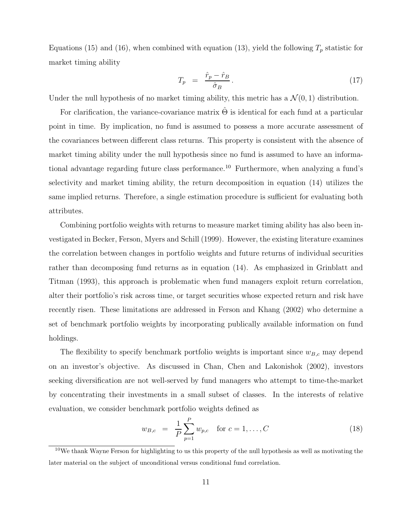Equations (15) and (16), when combined with equation (13), yield the following  $T_p$  statistic for market timing ability

$$
T_p = \frac{\hat{r}_p - \hat{r}_B}{\hat{\sigma}_B}.
$$
\n(17)

Under the null hypothesis of no market timing ability, this metric has a  $\mathcal{N}(0, 1)$  distribution.

For clarification, the variance-covariance matrix  $\hat{\Theta}$  is identical for each fund at a particular point in time. By implication, no fund is assumed to possess a more accurate assessment of the covariances between different class returns. This property is consistent with the absence of market timing ability under the null hypothesis since no fund is assumed to have an informational advantage regarding future class performance.<sup>10</sup> Furthermore, when analyzing a fund's selectivity and market timing ability, the return decomposition in equation (14) utilizes the same implied returns. Therefore, a single estimation procedure is sufficient for evaluating both attributes.

Combining portfolio weights with returns to measure market timing ability has also been investigated in Becker, Ferson, Myers and Schill (1999). However, the existing literature examines the correlation between changes in portfolio weights and future returns of individual securities rather than decomposing fund returns as in equation (14). As emphasized in Grinblatt and Titman (1993), this approach is problematic when fund managers exploit return correlation, alter their portfolio's risk across time, or target securities whose expected return and risk have recently risen. These limitations are addressed in Ferson and Khang (2002) who determine a set of benchmark portfolio weights by incorporating publically available information on fund holdings.

The flexibility to specify benchmark portfolio weights is important since  $w_{B,c}$  may depend on an investor's objective. As discussed in Chan, Chen and Lakonishok (2002), investors seeking diversification are not well-served by fund managers who attempt to time-the-market by concentrating their investments in a small subset of classes. In the interests of relative evaluation, we consider benchmark portfolio weights defined as

$$
w_{B,c} = \frac{1}{P} \sum_{p=1}^{P} w_{p,c} \quad \text{for } c = 1, ..., C
$$
 (18)

<sup>10</sup>We thank Wayne Ferson for highlighting to us this property of the null hypothesis as well as motivating the later material on the subject of unconditional versus conditional fund correlation.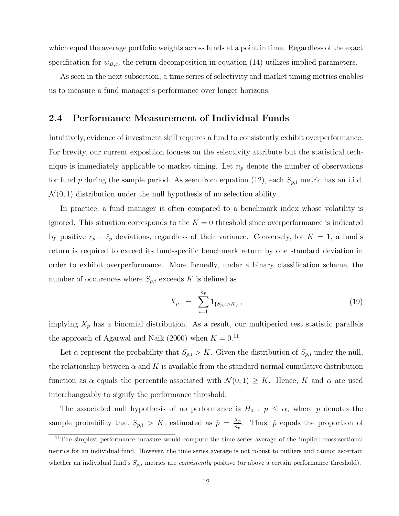which equal the average portfolio weights across funds at a point in time. Regardless of the exact specification for  $w_{B,c}$ , the return decomposition in equation (14) utilizes implied parameters.

As seen in the next subsection, a time series of selectivity and market timing metrics enables us to measure a fund manager's performance over longer horizons.

#### **2.4 Performance Measurement of Individual Funds**

Intuitively, evidence of investment skill requires a fund to consistently exhibit overperformance. For brevity, our current exposition focuses on the selectivity attribute but the statistical technique is immediately applicable to market timing. Let  $n_p$  denote the number of observations for fund p during the sample period. As seen from equation (12), each  $S_{p,i}$  metric has an i.i.d.  $\mathcal{N}(0, 1)$  distribution under the null hypothesis of no selection ability.

In practice, a fund manager is often compared to a benchmark index whose volatility is ignored. This situation corresponds to the  $K = 0$  threshold since overperformance is indicated by positive  $r_p - \hat{r}_p$  deviations, regardless of their variance. Conversely, for  $K = 1$ , a fund's return is required to exceed its fund-specific benchmark return by one standard deviation in order to exhibit overperformance. More formally, under a binary classification scheme, the number of occurences where  $S_{p,i}$  exceeds K is defined as

$$
X_p = \sum_{i=1}^{n_p} 1_{\{S_p, i > K\}},\tag{19}
$$

implying  $X_p$  has a binomial distribution. As a result, our multiperiod test statistic parallels the approach of Agarwal and Naik (2000) when  $K = 0.11$ 

Let  $\alpha$  represent the probability that  $S_{p,i} > K$ . Given the distribution of  $S_{p,i}$  under the null, the relationship between  $\alpha$  and K is available from the standard normal cumulative distribution function as  $\alpha$  equals the percentile associated with  $\mathcal{N}(0,1) \geq K$ . Hence, K and  $\alpha$  are used interchangeably to signify the performance threshold.

The associated null hypothesis of no performance is  $H_0: p \leq \alpha$ , where p denotes the sample probability that  $S_{p,i} > K$ , estimated as  $\hat{p} = \frac{X_p}{n_p}$ . Thus,  $\hat{p}$  equals the proportion of

<sup>&</sup>lt;sup>11</sup>The simplest performance measure would compute the time series average of the implied cross-sectional metrics for an individual fund. However, the time series average is not robust to outliers and cannot ascertain whether an individual fund's  $S_{p,i}$  metrics are *consistently* positive (or above a certain performance threshold).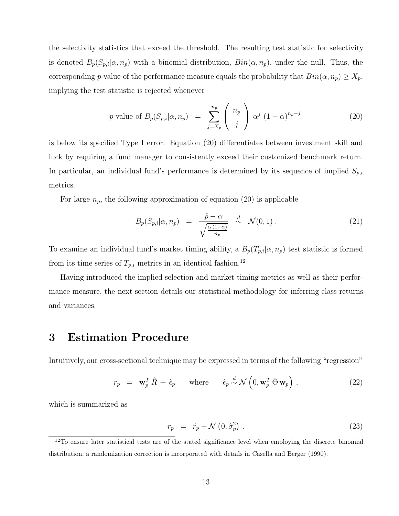the selectivity statistics that exceed the threshold. The resulting test statistic for selectivity is denoted  $B_p(S_{p,i}|\alpha, n_p)$  with a binomial distribution,  $Bin(\alpha, n_p)$ , under the null. Thus, the corresponding p-value of the performance measure equals the probability that  $Bin(\alpha, n_p) \ge X_p$ , implying the test statistic is rejected whenever

$$
p\text{-value of }B_p(S_{p,i}|\alpha,n_p) = \sum_{j=X_p}^{n_p} \binom{n_p}{j} \alpha^j (1-\alpha)^{n_p-j} \tag{20}
$$

is below its specified Type I error. Equation (20) differentiates between investment skill and luck by requiring a fund manager to consistently exceed their customized benchmark return. In particular, an individual fund's performance is determined by its sequence of implied  $S_{p,i}$ metrics.

For large  $n_p$ , the following approximation of equation (20) is applicable

$$
B_p(S_{p,i}|\alpha, n_p) = \frac{\hat{p} - \alpha}{\sqrt{\frac{\alpha(1-\alpha)}{n_p}}} \stackrel{d}{\sim} \mathcal{N}(0, 1).
$$
 (21)

To examine an individual fund's market timing ability, a  $B_p(T_{p,i}|\alpha, n_p)$  test statistic is formed from its time series of  $T_{p,i}$  metrics in an identical fashion.<sup>12</sup>

Having introduced the implied selection and market timing metrics as well as their performance measure, the next section details our statistical methodology for inferring class returns and variances.

### **3 Estimation Procedure**

Intuitively, our cross-sectional technique may be expressed in terms of the following "regression"

$$
r_p = \mathbf{w}_p^T \hat{R} + \hat{\epsilon}_p \quad \text{where} \quad \hat{\epsilon}_p \stackrel{d}{\sim} \mathcal{N}\left(0, \mathbf{w}_p^T \hat{\Theta} \mathbf{w}_p\right), \tag{22}
$$

which is summarized as

$$
r_p = \hat{r}_p + \mathcal{N}\left(0, \hat{\sigma}_p^2\right). \tag{23}
$$

<sup>&</sup>lt;sup>12</sup>To ensure later statistical tests are of the stated significance level when employing the discrete binomial distribution, a randomization correction is incorporated with details in Casella and Berger (1990).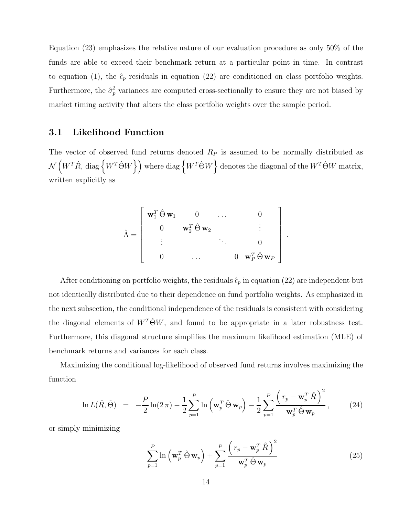Equation (23) emphasizes the relative nature of our evaluation procedure as only 50% of the funds are able to exceed their benchmark return at a particular point in time. In contrast to equation (1), the  $\hat{\epsilon}_p$  residuals in equation (22) are conditioned on class portfolio weights. Furthermore, the  $\hat{\sigma}_p^2$  variances are computed cross-sectionally to ensure they are not biased by market timing activity that alters the class portfolio weights over the sample period.

#### **3.1 Likelihood Function**

The vector of observed fund returns denoted  $R<sub>P</sub>$  is assumed to be normally distributed as  $\mathcal{N}\left(W^T\hat{R},\, \text{diag}\left\{W^T\hat{\Theta}W\right\}\right)$  where  $\text{diag}\left\{W^T\hat{\Theta}W\right\}$  denotes the diagonal of the  $W^T\hat{\Theta}W$  matrix, written explicitly as

$$
\hat{\Lambda} = \begin{bmatrix}\n\mathbf{w}_1^T \hat{\Theta} \mathbf{w}_1 & 0 & \dots & 0 \\
0 & \mathbf{w}_2^T \hat{\Theta} \mathbf{w}_2 & \vdots \\
\vdots & \ddots & \vdots \\
0 & \dots & 0 & \mathbf{w}_P^T \hat{\Theta} \mathbf{w}_P\n\end{bmatrix}
$$

After conditioning on portfolio weights, the residuals  $\hat{\epsilon}_p$  in equation (22) are independent but not identically distributed due to their dependence on fund portfolio weights. As emphasized in the next subsection, the conditional independence of the residuals is consistent with considering the diagonal elements of  $W^T\hat{\Theta}W$ , and found to be appropriate in a later robustness test. Furthermore, this diagonal structure simplifies the maximum likelihood estimation (MLE) of benchmark returns and variances for each class.

Maximizing the conditional log-likelihood of observed fund returns involves maximizing the function

$$
\ln L(\hat{R}, \hat{\Theta}) = -\frac{P}{2}\ln(2\pi) - \frac{1}{2}\sum_{p=1}^{P} \ln\left(\mathbf{w}_p^T \hat{\Theta} \mathbf{w}_p\right) - \frac{1}{2}\sum_{p=1}^{P} \frac{\left(r_p - \mathbf{w}_p^T \hat{R}\right)^2}{\mathbf{w}_p^T \hat{\Theta} \mathbf{w}_p},
$$
(24)

or simply minimizing

$$
\sum_{p=1}^{P} \ln \left( \mathbf{w}_p^T \hat{\Theta} \mathbf{w}_p \right) + \sum_{p=1}^{P} \frac{\left( r_p - \mathbf{w}_p^T \hat{R} \right)^2}{\mathbf{w}_p^T \hat{\Theta} \mathbf{w}_p}
$$
(25)

.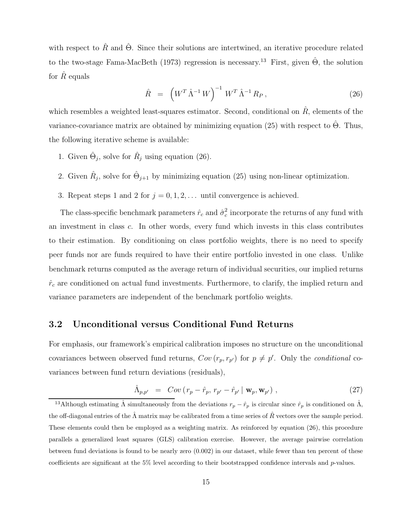with respect to  $\hat{R}$  and  $\hat{\Theta}$ . Since their solutions are intertwined, an iterative procedure related to the two-stage Fama-MacBeth (1973) regression is necessary.<sup>13</sup> First, given  $\hat{\Theta}$ , the solution for  $\hat{R}$  equals

$$
\hat{R} = \left( W^T \hat{\Lambda}^{-1} W \right)^{-1} W^T \hat{\Lambda}^{-1} R_P , \qquad (26)
$$

which resembles a weighted least-squares estimator. Second, conditional on  $\hat{R}$ , elements of the variance-covariance matrix are obtained by minimizing equation (25) with respect to  $\hat{\Theta}$ . Thus, the following iterative scheme is available:

- 1. Given  $\hat{\Theta}_j$ , solve for  $\hat{R}_j$  using equation (26).
- 2. Given  $\hat{R}_j$ , solve for  $\hat{\Theta}_{j+1}$  by minimizing equation (25) using non-linear optimization.
- 3. Repeat steps 1 and 2 for  $j = 0, 1, 2, \ldots$  until convergence is achieved.

The class-specific benchmark parameters  $\hat{r}_c$  and  $\hat{\sigma}_c^2$  incorporate the returns of any fund with an investment in class  $c$ . In other words, every fund which invests in this class contributes to their estimation. By conditioning on class portfolio weights, there is no need to specify peer funds nor are funds required to have their entire portfolio invested in one class. Unlike benchmark returns computed as the average return of individual securities, our implied returns  $\hat{r}_c$  are conditioned on actual fund investments. Furthermore, to clarify, the implied return and variance parameters are independent of the benchmark portfolio weights.

#### **3.2 Unconditional versus Conditional Fund Returns**

For emphasis, our framework's empirical calibration imposes no structure on the unconditional covariances between observed fund returns,  $Cov(r_p, r_{p'})$  for  $p \neq p'$ . Only the *conditional* covariances between fund return deviations (residuals),

$$
\hat{\Lambda}_{p,p'} = Cov(r_p - \hat{r}_p, r_{p'} - \hat{r}_{p'} | \mathbf{w}_p, \mathbf{w}_{p'}) ,
$$
\n(27)

<sup>&</sup>lt;sup>13</sup>Although estimating  $\hat{\Lambda}$  simultaneously from the deviations  $r_p - \hat{r}_p$  is circular since  $\hat{r}_p$  is conditioned on  $\hat{\Lambda}$ , the off-diagonal entries of the  $\hat{\Lambda}$  matrix may be calibrated from a time series of  $\hat{R}$  vectors over the sample period. These elements could then be employed as a weighting matrix. As reinforced by equation (26), this procedure parallels a generalized least squares (GLS) calibration exercise. However, the average pairwise correlation between fund deviations is found to be nearly zero (0.002) in our dataset, while fewer than ten percent of these coefficients are significant at the 5% level according to their bootstrapped confidence intervals and p-values.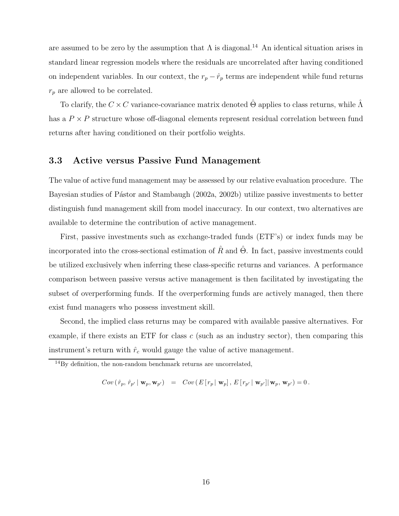are assumed to be zero by the assumption that  $\Lambda$  is diagonal.<sup>14</sup> An identical situation arises in standard linear regression models where the residuals are uncorrelated after having conditioned on independent variables. In our context, the  $r_p - \hat{r}_p$  terms are independent while fund returns  $r_p$  are allowed to be correlated.

To clarify, the  $C \times C$  variance-covariance matrix denoted  $\hat{\Theta}$  applies to class returns, while  $\hat{\Lambda}$ has a  $P \times P$  structure whose off-diagonal elements represent residual correlation between fund returns after having conditioned on their portfolio weights.

#### **3.3 Active versus Passive Fund Management**

The value of active fund management may be assessed by our relative evaluation procedure. The Bayesian studies of Pástor and Stambaugh (2002a, 2002b) utilize passive investments to better distinguish fund management skill from model inaccuracy. In our context, two alternatives are available to determine the contribution of active management.

First, passive investments such as exchange-traded funds (ETF's) or index funds may be incorporated into the cross-sectional estimation of  $\hat{R}$  and  $\hat{\Theta}$ . In fact, passive investments could be utilized exclusively when inferring these class-specific returns and variances. A performance comparison between passive versus active management is then facilitated by investigating the subset of overperforming funds. If the overperforming funds are actively managed, then there exist fund managers who possess investment skill.

Second, the implied class returns may be compared with available passive alternatives. For example, if there exists an ETF for class  $c$  (such as an industry sector), then comparing this instrument's return with  $\hat{r}_c$  would gauge the value of active management.

$$
Cov\left(\hat{\boldsymbol{r}}_p,\,\hat{\boldsymbol{r}}_{p^\prime}\left|\right.\mathbf{w}_p,\mathbf{w}_{p^\prime}\right)\;\;=\;\;Cov\left(\,E\left[\,\boldsymbol{r}_p\left|\right.\mathbf{w}_p\right],\,E\left[\,\boldsymbol{r}_{p^\prime}\left|\right.\mathbf{w}_{p^\prime}\right]\right|\mathbf{w}_p,\,\mathbf{w}_{p^\prime}\right)=0\,.
$$

 $14$ By definition, the non-random benchmark returns are uncorrelated,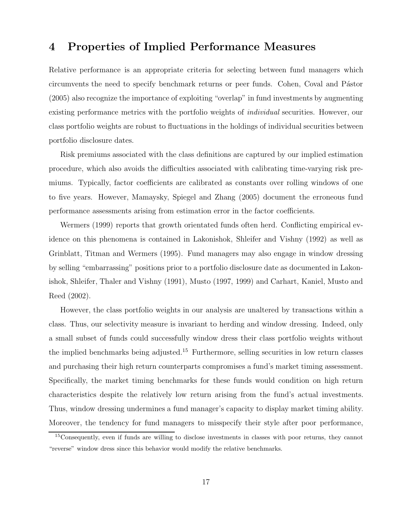### **4 Properties of Implied Performance Measures**

Relative performance is an appropriate criteria for selecting between fund managers which circumvents the need to specify benchmark returns or peer funds. Cohen, Coval and Pástor (2005) also recognize the importance of exploiting "overlap" in fund investments by augmenting existing performance metrics with the portfolio weights of *individual* securities. However, our class portfolio weights are robust to fluctuations in the holdings of individual securities between portfolio disclosure dates.

Risk premiums associated with the class definitions are captured by our implied estimation procedure, which also avoids the difficulties associated with calibrating time-varying risk premiums. Typically, factor coefficients are calibrated as constants over rolling windows of one to five years. However, Mamaysky, Spiegel and Zhang (2005) document the erroneous fund performance assessments arising from estimation error in the factor coefficients.

Wermers (1999) reports that growth orientated funds often herd. Conflicting empirical evidence on this phenomena is contained in Lakonishok, Shleifer and Vishny (1992) as well as Grinblatt, Titman and Wermers (1995). Fund managers may also engage in window dressing by selling "embarrassing" positions prior to a portfolio disclosure date as documented in Lakonishok, Shleifer, Thaler and Vishny (1991), Musto (1997, 1999) and Carhart, Kaniel, Musto and Reed (2002).

However, the class portfolio weights in our analysis are unaltered by transactions within a class. Thus, our selectivity measure is invariant to herding and window dressing. Indeed, only a small subset of funds could successfully window dress their class portfolio weights without the implied benchmarks being adjusted.<sup>15</sup> Furthermore, selling securities in low return classes and purchasing their high return counterparts compromises a fund's market timing assessment. Specifically, the market timing benchmarks for these funds would condition on high return characteristics despite the relatively low return arising from the fund's actual investments. Thus, window dressing undermines a fund manager's capacity to display market timing ability. Moreover, the tendency for fund managers to misspecify their style after poor performance,

<sup>15</sup>Consequently, even if funds are willing to disclose investments in classes with poor returns, they cannot "reverse" window dress since this behavior would modify the relative benchmarks.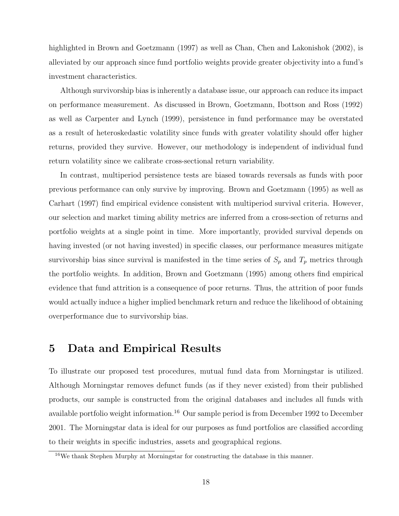highlighted in Brown and Goetzmann (1997) as well as Chan, Chen and Lakonishok (2002), is alleviated by our approach since fund portfolio weights provide greater objectivity into a fund's investment characteristics.

Although survivorship bias is inherently a database issue, our approach can reduce its impact on performance measurement. As discussed in Brown, Goetzmann, Ibottson and Ross (1992) as well as Carpenter and Lynch (1999), persistence in fund performance may be overstated as a result of heteroskedastic volatility since funds with greater volatility should offer higher returns, provided they survive. However, our methodology is independent of individual fund return volatility since we calibrate cross-sectional return variability.

In contrast, multiperiod persistence tests are biased towards reversals as funds with poor previous performance can only survive by improving. Brown and Goetzmann (1995) as well as Carhart (1997) find empirical evidence consistent with multiperiod survival criteria. However, our selection and market timing ability metrics are inferred from a cross-section of returns and portfolio weights at a single point in time. More importantly, provided survival depends on having invested (or not having invested) in specific classes, our performance measures mitigate survivorship bias since survival is manifested in the time series of  $S_p$  and  $T_p$  metrics through the portfolio weights. In addition, Brown and Goetzmann (1995) among others find empirical evidence that fund attrition is a consequence of poor returns. Thus, the attrition of poor funds would actually induce a higher implied benchmark return and reduce the likelihood of obtaining overperformance due to survivorship bias.

### **5 Data and Empirical Results**

To illustrate our proposed test procedures, mutual fund data from Morningstar is utilized. Although Morningstar removes defunct funds (as if they never existed) from their published products, our sample is constructed from the original databases and includes all funds with available portfolio weight information.<sup>16</sup> Our sample period is from December 1992 to December 2001. The Morningstar data is ideal for our purposes as fund portfolios are classified according to their weights in specific industries, assets and geographical regions.

<sup>16</sup>We thank Stephen Murphy at Morningstar for constructing the database in this manner.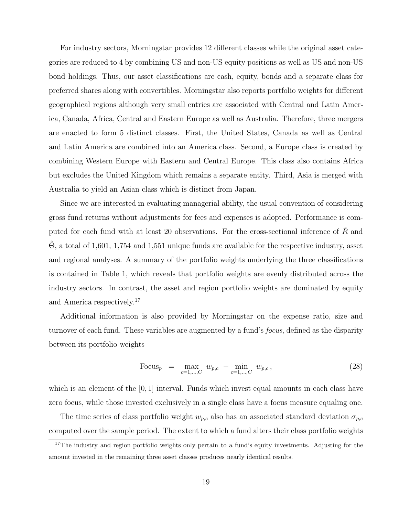For industry sectors, Morningstar provides 12 different classes while the original asset categories are reduced to 4 by combining US and non-US equity positions as well as US and non-US bond holdings. Thus, our asset classifications are cash, equity, bonds and a separate class for preferred shares along with convertibles. Morningstar also reports portfolio weights for different geographical regions although very small entries are associated with Central and Latin America, Canada, Africa, Central and Eastern Europe as well as Australia. Therefore, three mergers are enacted to form 5 distinct classes. First, the United States, Canada as well as Central and Latin America are combined into an America class. Second, a Europe class is created by combining Western Europe with Eastern and Central Europe. This class also contains Africa but excludes the United Kingdom which remains a separate entity. Third, Asia is merged with Australia to yield an Asian class which is distinct from Japan.

Since we are interested in evaluating managerial ability, the usual convention of considering gross fund returns without adjustments for fees and expenses is adopted. Performance is computed for each fund with at least 20 observations. For the cross-sectional inference of  $\tilde{R}$  and  $\hat{\Theta}$ , a total of 1,601, 1,754 and 1,551 unique funds are available for the respective industry, asset and regional analyses. A summary of the portfolio weights underlying the three classifications is contained in Table 1, which reveals that portfolio weights are evenly distributed across the industry sectors. In contrast, the asset and region portfolio weights are dominated by equity and America respectively.<sup>17</sup>

Additional information is also provided by Morningstar on the expense ratio, size and turnover of each fund. These variables are augmented by a fund's *focus*, defined as the disparity between its portfolio weights

Focus<sub>p</sub> = 
$$
\max_{c=1,...,C} w_{p,c} - \min_{c=1,...,C} w_{p,c}
$$
, (28)

which is an element of the  $[0, 1]$  interval. Funds which invest equal amounts in each class have zero focus, while those invested exclusively in a single class have a focus measure equaling one.

The time series of class portfolio weight  $w_{p,c}$  also has an associated standard deviation  $\sigma_{p,c}$ computed over the sample period. The extent to which a fund alters their class portfolio weights

 $17$ The industry and region portfolio weights only pertain to a fund's equity investments. Adjusting for the amount invested in the remaining three asset classes produces nearly identical results.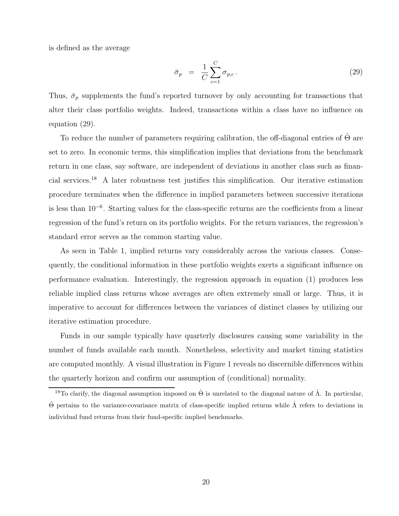is defined as the average

$$
\bar{\sigma}_p = \frac{1}{C} \sum_{c=1}^{C} \sigma_{p,c} \,. \tag{29}
$$

Thus,  $\bar{\sigma}_p$  supplements the fund's reported turnover by only accounting for transactions that alter their class portfolio weights. Indeed, transactions within a class have no influence on equation (29).

To reduce the number of parameters requiring calibration, the off-diagonal entries of  $\Theta$  are set to zero. In economic terms, this simplification implies that deviations from the benchmark return in one class, say software, are independent of deviations in another class such as financial services.<sup>18</sup> A later robustness test justifies this simplification. Our iterative estimation procedure terminates when the difference in implied parameters between successive iterations is less than 10<sup>−</sup><sup>6</sup>. Starting values for the class-specific returns are the coefficients from a linear regression of the fund's return on its portfolio weights. For the return variances, the regression's standard error serves as the common starting value.

As seen in Table 1, implied returns vary considerably across the various classes. Consequently, the conditional information in these portfolio weights exerts a significant influence on performance evaluation. Interestingly, the regression approach in equation (1) produces less reliable implied class returns whose averages are often extremely small or large. Thus, it is imperative to account for differences between the variances of distinct classes by utilizing our iterative estimation procedure.

Funds in our sample typically have quarterly disclosures causing some variability in the number of funds available each month. Nonetheless, selectivity and market timing statistics are computed monthly. A visual illustration in Figure 1 reveals no discernible differences within the quarterly horizon and confirm our assumption of (conditional) normality.

<sup>&</sup>lt;sup>18</sup>To clarify, the diagonal assumption imposed on  $\hat{\Theta}$  is unrelated to the diagonal nature of  $\hat{\Lambda}$ . In particular,  $\hat{\Theta}$  pertains to the variance-covariance matrix of class-specific implied returns while  $\hat{\Lambda}$  refers to deviations in individual fund returns from their fund-specific implied benchmarks.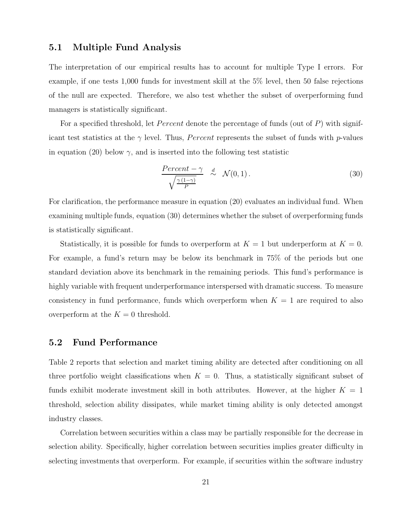#### **5.1 Multiple Fund Analysis**

The interpretation of our empirical results has to account for multiple Type I errors. For example, if one tests 1,000 funds for investment skill at the 5% level, then 50 false rejections of the null are expected. Therefore, we also test whether the subset of overperforming fund managers is statistically significant.

For a specified threshold, let *Percent* denote the percentage of funds (out of P) with significant test statistics at the  $\gamma$  level. Thus, *Percent* represents the subset of funds with *p*-values in equation (20) below  $\gamma$ , and is inserted into the following test statistic

$$
\frac{Percent - \gamma}{\sqrt{\frac{\gamma (1 - \gamma)}{P}}} \quad \stackrel{d}{\sim} \quad \mathcal{N}(0, 1). \tag{30}
$$

For clarification, the performance measure in equation (20) evaluates an individual fund. When examining multiple funds, equation (30) determines whether the subset of overperforming funds is statistically significant.

Statistically, it is possible for funds to overperform at  $K = 1$  but underperform at  $K = 0$ . For example, a fund's return may be below its benchmark in 75% of the periods but one standard deviation above its benchmark in the remaining periods. This fund's performance is highly variable with frequent underperformance interspersed with dramatic success. To measure consistency in fund performance, funds which overperform when  $K = 1$  are required to also overperform at the  $K = 0$  threshold.

### **5.2 Fund Performance**

Table 2 reports that selection and market timing ability are detected after conditioning on all three portfolio weight classifications when  $K = 0$ . Thus, a statistically significant subset of funds exhibit moderate investment skill in both attributes. However, at the higher  $K = 1$ threshold, selection ability dissipates, while market timing ability is only detected amongst industry classes.

Correlation between securities within a class may be partially responsible for the decrease in selection ability. Specifically, higher correlation between securities implies greater difficulty in selecting investments that overperform. For example, if securities within the software industry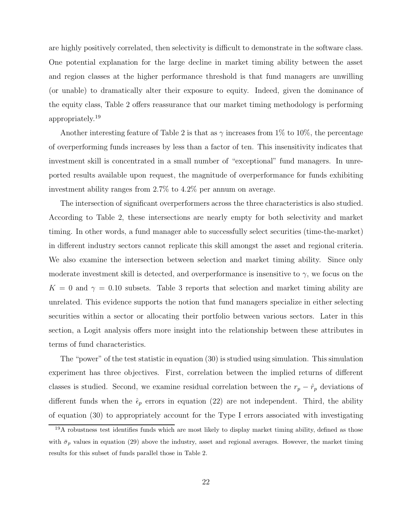are highly positively correlated, then selectivity is difficult to demonstrate in the software class. One potential explanation for the large decline in market timing ability between the asset and region classes at the higher performance threshold is that fund managers are unwilling (or unable) to dramatically alter their exposure to equity. Indeed, given the dominance of the equity class, Table 2 offers reassurance that our market timing methodology is performing appropriately.<sup>19</sup>

Another interesting feature of Table 2 is that as  $\gamma$  increases from 1% to 10%, the percentage of overperforming funds increases by less than a factor of ten. This insensitivity indicates that investment skill is concentrated in a small number of "exceptional" fund managers. In unreported results available upon request, the magnitude of overperformance for funds exhibiting investment ability ranges from 2.7% to 4.2% per annum on average.

The intersection of significant overperformers across the three characteristics is also studied. According to Table 2, these intersections are nearly empty for both selectivity and market timing. In other words, a fund manager able to successfully select securities (time-the-market) in different industry sectors cannot replicate this skill amongst the asset and regional criteria. We also examine the intersection between selection and market timing ability. Since only moderate investment skill is detected, and overperformance is insensitive to  $\gamma$ , we focus on the  $K = 0$  and  $\gamma = 0.10$  subsets. Table 3 reports that selection and market timing ability are unrelated. This evidence supports the notion that fund managers specialize in either selecting securities within a sector or allocating their portfolio between various sectors. Later in this section, a Logit analysis offers more insight into the relationship between these attributes in terms of fund characteristics.

The "power" of the test statistic in equation (30) is studied using simulation. This simulation experiment has three objectives. First, correlation between the implied returns of different classes is studied. Second, we examine residual correlation between the  $r_p - \hat{r}_p$  deviations of different funds when the  $\hat{\epsilon}_p$  errors in equation (22) are not independent. Third, the ability of equation (30) to appropriately account for the Type I errors associated with investigating

<sup>19</sup>A robustness test identifies funds which are most likely to display market timing ability, defined as those with  $\bar{\sigma}_p$  values in equation (29) above the industry, asset and regional averages. However, the market timing results for this subset of funds parallel those in Table 2.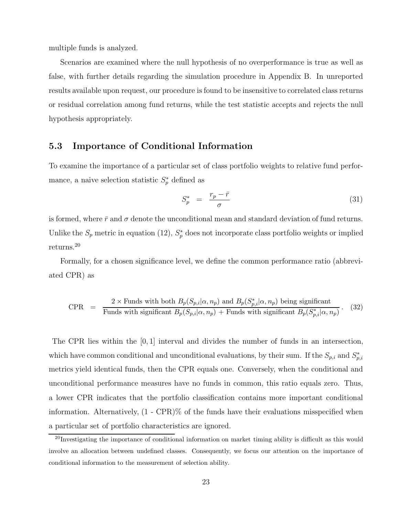multiple funds is analyzed.

Scenarios are examined where the null hypothesis of no overperformance is true as well as false, with further details regarding the simulation procedure in Appendix B. In unreported results available upon request, our procedure is found to be insensitive to correlated class returns or residual correlation among fund returns, while the test statistic accepts and rejects the null hypothesis appropriately.

#### **5.3 Importance of Conditional Information**

To examine the importance of a particular set of class portfolio weights to relative fund performance, a naive selection statistic  $S_n^*$  defined as

$$
S_p^* = \frac{r_p - \bar{r}}{\sigma} \tag{31}
$$

is formed, where  $\bar{r}$  and  $\sigma$  denote the unconditional mean and standard deviation of fund returns. Unlike the  $S_p$  metric in equation (12),  $S_p^*$  does not incorporate class portfolio weights or implied returns.<sup>20</sup>

Formally, for a chosen significance level, we define the common performance ratio (abbreviated CPR) as

$$
CPR = \frac{2 \times \text{Funds with both } B_p(S_{p,i}|\alpha, n_p) \text{ and } B_p(S_{p,i}^*|\alpha, n_p) \text{ being significant}}{\text{Funds with significant } B_p(S_{p,i}|\alpha, n_p) + \text{Funds with significant } B_p(S_{p,i}^*|\alpha, n_p)}.
$$
 (32)

The CPR lies within the [0, 1] interval and divides the number of funds in an intersection, which have common conditional and unconditional evaluations, by their sum. If the  $S_{p,i}$  and  $S_{p,i}^*$ metrics yield identical funds, then the CPR equals one. Conversely, when the conditional and unconditional performance measures have no funds in common, this ratio equals zero. Thus, a lower CPR indicates that the portfolio classification contains more important conditional information. Alternatively, (1 - CPR)% of the funds have their evaluations misspecified when a particular set of portfolio characteristics are ignored.

<sup>20</sup>Investigating the importance of conditional information on market timing ability is difficult as this would involve an allocation between undefined classes. Consequently, we focus our attention on the importance of conditional information to the measurement of selection ability.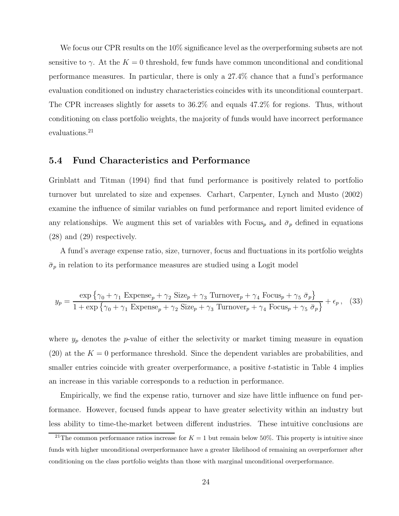We focus our CPR results on the 10% significance level as the overperforming subsets are not sensitive to  $\gamma$ . At the  $K = 0$  threshold, few funds have common unconditional and conditional performance measures. In particular, there is only a 27.4% chance that a fund's performance evaluation conditioned on industry characteristics coincides with its unconditional counterpart. The CPR increases slightly for assets to 36.2% and equals 47.2% for regions. Thus, without conditioning on class portfolio weights, the majority of funds would have incorrect performance evaluations.<sup>21</sup>

#### **5.4 Fund Characteristics and Performance**

Grinblatt and Titman (1994) find that fund performance is positively related to portfolio turnover but unrelated to size and expenses. Carhart, Carpenter, Lynch and Musto (2002) examine the influence of similar variables on fund performance and report limited evidence of any relationships. We augment this set of variables with Focus<sub>p</sub> and  $\bar{\sigma}_p$  defined in equations (28) and (29) respectively.

A fund's average expense ratio, size, turnover, focus and fluctuations in its portfolio weights  $\bar{\sigma}_p$  in relation to its performance measures are studied using a Logit model

$$
y_p = \frac{\exp\left\{\gamma_0 + \gamma_1 \text{ Expense}_p + \gamma_2 \text{ Size}_p + \gamma_3 \text{ Turnover}_p + \gamma_4 \text{ Focus}_p + \gamma_5 \bar{\sigma}_p\right\}}{1 + \exp\left\{\gamma_0 + \gamma_1 \text{ Expense}_p + \gamma_2 \text{ Size}_p + \gamma_3 \text{ Turnover}_p + \gamma_4 \text{ Focus}_p + \gamma_5 \bar{\sigma}_p\right\}} + \epsilon_p, \quad (33)
$$

where  $y_p$  denotes the p-value of either the selectivity or market timing measure in equation (20) at the  $K = 0$  performance threshold. Since the dependent variables are probabilities, and smaller entries coincide with greater overperformance, a positive t-statistic in Table 4 implies an increase in this variable corresponds to a reduction in performance.

Empirically, we find the expense ratio, turnover and size have little influence on fund performance. However, focused funds appear to have greater selectivity within an industry but less ability to time-the-market between different industries. These intuitive conclusions are

<sup>&</sup>lt;sup>21</sup>The common performance ratios increase for  $K = 1$  but remain below 50%. This property is intuitive since funds with higher unconditional overperformance have a greater likelihood of remaining an overperformer after conditioning on the class portfolio weights than those with marginal unconditional overperformance.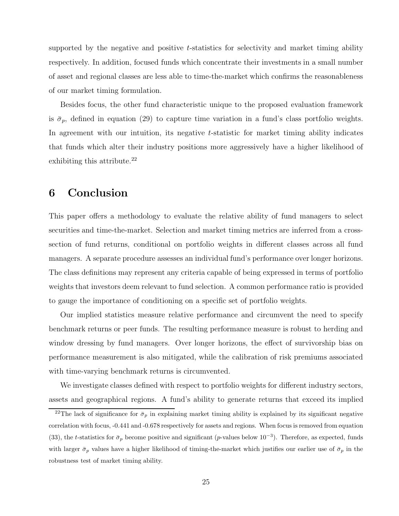supported by the negative and positive t-statistics for selectivity and market timing ability respectively. In addition, focused funds which concentrate their investments in a small number of asset and regional classes are less able to time-the-market which confirms the reasonableness of our market timing formulation.

Besides focus, the other fund characteristic unique to the proposed evaluation framework is  $\bar{\sigma}_p$ , defined in equation (29) to capture time variation in a fund's class portfolio weights. In agreement with our intuition, its negative t-statistic for market timing ability indicates that funds which alter their industry positions more aggressively have a higher likelihood of exhibiting this attribute. $^{22}$ 

### **6 Conclusion**

This paper offers a methodology to evaluate the relative ability of fund managers to select securities and time-the-market. Selection and market timing metrics are inferred from a crosssection of fund returns, conditional on portfolio weights in different classes across all fund managers. A separate procedure assesses an individual fund's performance over longer horizons. The class definitions may represent any criteria capable of being expressed in terms of portfolio weights that investors deem relevant to fund selection. A common performance ratio is provided to gauge the importance of conditioning on a specific set of portfolio weights.

Our implied statistics measure relative performance and circumvent the need to specify benchmark returns or peer funds. The resulting performance measure is robust to herding and window dressing by fund managers. Over longer horizons, the effect of survivorship bias on performance measurement is also mitigated, while the calibration of risk premiums associated with time-varying benchmark returns is circumvented.

We investigate classes defined with respect to portfolio weights for different industry sectors, assets and geographical regions. A fund's ability to generate returns that exceed its implied

<sup>&</sup>lt;sup>22</sup>The lack of significance for  $\bar{\sigma}_p$  in explaining market timing ability is explained by its significant negative correlation with focus, -0.441 and -0.678 respectively for assets and regions. When focus is removed from equation (33), the t-statistics for  $\bar{\sigma}_p$  become positive and significant (p-values below 10<sup>-3</sup>). Therefore, as expected, funds with larger  $\bar{\sigma}_p$  values have a higher likelihood of timing-the-market which justifies our earlier use of  $\bar{\sigma}_p$  in the robustness test of market timing ability.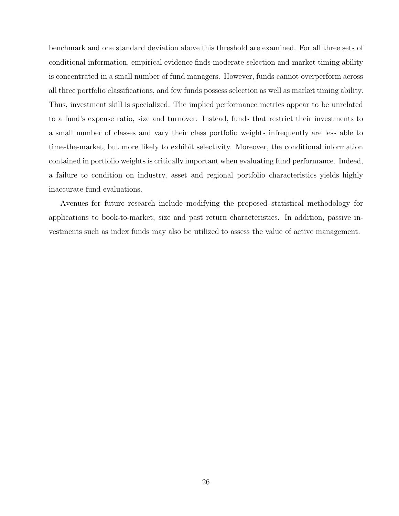benchmark and one standard deviation above this threshold are examined. For all three sets of conditional information, empirical evidence finds moderate selection and market timing ability is concentrated in a small number of fund managers. However, funds cannot overperform across all three portfolio classifications, and few funds possess selection as well as market timing ability. Thus, investment skill is specialized. The implied performance metrics appear to be unrelated to a fund's expense ratio, size and turnover. Instead, funds that restrict their investments to a small number of classes and vary their class portfolio weights infrequently are less able to time-the-market, but more likely to exhibit selectivity. Moreover, the conditional information contained in portfolio weights is critically important when evaluating fund performance. Indeed, a failure to condition on industry, asset and regional portfolio characteristics yields highly inaccurate fund evaluations.

Avenues for future research include modifying the proposed statistical methodology for applications to book-to-market, size and past return characteristics. In addition, passive investments such as index funds may also be utilized to assess the value of active management.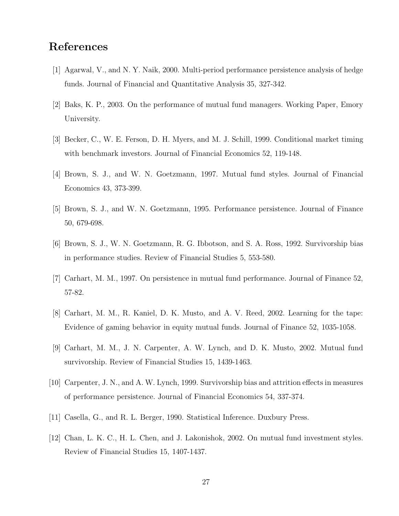### **References**

- [1] Agarwal, V., and N. Y. Naik, 2000. Multi-period performance persistence analysis of hedge funds. Journal of Financial and Quantitative Analysis 35, 327-342.
- [2] Baks, K. P., 2003. On the performance of mutual fund managers. Working Paper, Emory University.
- [3] Becker, C., W. E. Ferson, D. H. Myers, and M. J. Schill, 1999. Conditional market timing with benchmark investors. Journal of Financial Economics 52, 119-148.
- [4] Brown, S. J., and W. N. Goetzmann, 1997. Mutual fund styles. Journal of Financial Economics 43, 373-399.
- [5] Brown, S. J., and W. N. Goetzmann, 1995. Performance persistence. Journal of Finance 50, 679-698.
- [6] Brown, S. J., W. N. Goetzmann, R. G. Ibbotson, and S. A. Ross, 1992. Survivorship bias in performance studies. Review of Financial Studies 5, 553-580.
- [7] Carhart, M. M., 1997. On persistence in mutual fund performance. Journal of Finance 52, 57-82.
- [8] Carhart, M. M., R. Kaniel, D. K. Musto, and A. V. Reed, 2002. Learning for the tape: Evidence of gaming behavior in equity mutual funds. Journal of Finance 52, 1035-1058.
- [9] Carhart, M. M., J. N. Carpenter, A. W. Lynch, and D. K. Musto, 2002. Mutual fund survivorship. Review of Financial Studies 15, 1439-1463.
- [10] Carpenter, J. N., and A. W. Lynch, 1999. Survivorship bias and attrition effects in measures of performance persistence. Journal of Financial Economics 54, 337-374.
- [11] Casella, G., and R. L. Berger, 1990. Statistical Inference. Duxbury Press.
- [12] Chan, L. K. C., H. L. Chen, and J. Lakonishok, 2002. On mutual fund investment styles. Review of Financial Studies 15, 1407-1437.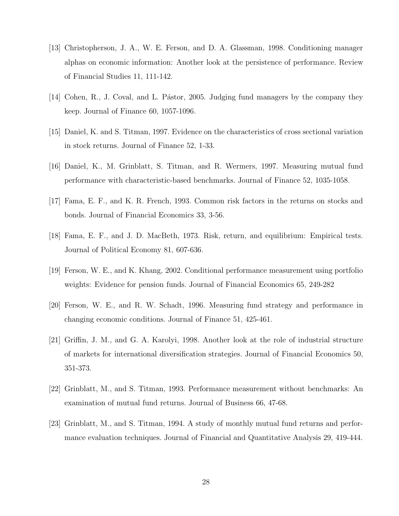- [13] Christopherson, J. A., W. E. Ferson, and D. A. Glassman, 1998. Conditioning manager alphas on economic information: Another look at the persistence of performance. Review of Financial Studies 11, 111-142.
- [14] Cohen, R., J. Coval, and L. Pástor, 2005. Judging fund managers by the company they keep. Journal of Finance 60, 1057-1096.
- [15] Daniel, K. and S. Titman, 1997. Evidence on the characteristics of cross sectional variation in stock returns. Journal of Finance 52, 1-33.
- [16] Daniel, K., M. Grinblatt, S. Titman, and R. Wermers, 1997. Measuring mutual fund performance with characteristic-based benchmarks. Journal of Finance 52, 1035-1058.
- [17] Fama, E. F., and K. R. French, 1993. Common risk factors in the returns on stocks and bonds. Journal of Financial Economics 33, 3-56.
- [18] Fama, E. F., and J. D. MacBeth, 1973. Risk, return, and equilibrium: Empirical tests. Journal of Political Economy 81, 607-636.
- [19] Ferson, W. E., and K. Khang, 2002. Conditional performance measurement using portfolio weights: Evidence for pension funds. Journal of Financial Economics 65, 249-282
- [20] Ferson, W. E., and R. W. Schadt, 1996. Measuring fund strategy and performance in changing economic conditions. Journal of Finance 51, 425-461.
- [21] Griffin, J. M., and G. A. Karolyi, 1998. Another look at the role of industrial structure of markets for international diversification strategies. Journal of Financial Economics 50, 351-373.
- [22] Grinblatt, M., and S. Titman, 1993. Performance measurement without benchmarks: An examination of mutual fund returns. Journal of Business 66, 47-68.
- [23] Grinblatt, M., and S. Titman, 1994. A study of monthly mutual fund returns and performance evaluation techniques. Journal of Financial and Quantitative Analysis 29, 419-444.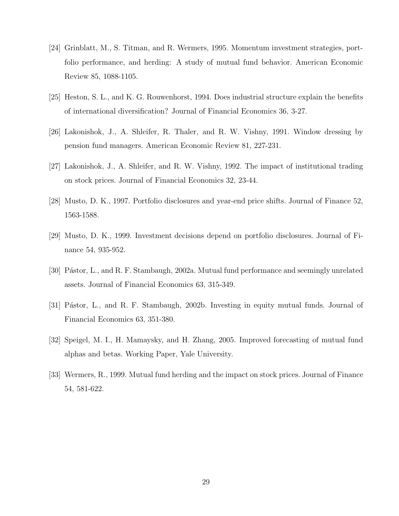- [24] Grinblatt, M., S. Titman, and R. Wermers, 1995. Momentum investment strategies, portfolio performance, and herding: A study of mutual fund behavior. American Economic Review 85, 1088-1105.
- [25] Heston, S. L., and K. G. Rouwenhorst, 1994. Does industrial structure explain the benefits of international diversification? Journal of Financial Economics 36, 3-27.
- [26] Lakonishok, J., A. Shleifer, R. Thaler, and R. W. Vishny, 1991. Window dressing by pension fund managers. American Economic Review 81, 227-231.
- [27] Lakonishok, J., A. Shleifer, and R. W. Vishny, 1992. The impact of institutional trading on stock prices. Journal of Financial Economics 32, 23-44.
- [28] Musto, D. K., 1997. Portfolio disclosures and year-end price shifts. Journal of Finance 52, 1563-1588.
- [29] Musto, D. K., 1999. Investment decisions depend on portfolio disclosures. Journal of Finance 54, 935-952.
- [30] Pástor, L., and R. F. Stambaugh, 2002a. Mutual fund performance and seemingly unrelated assets. Journal of Financial Economics 63, 315-349.
- [31] Pástor, L., and R. F. Stambaugh, 2002b. Investing in equity mutual funds. Journal of Financial Economics 63, 351-380.
- [32] Speigel, M. I., H. Mamaysky, and H. Zhang, 2005. Improved forecasting of mutual fund alphas and betas. Working Paper, Yale University.
- [33] Wermers, R., 1999. Mutual fund herding and the impact on stock prices. Journal of Finance 54, 581-622.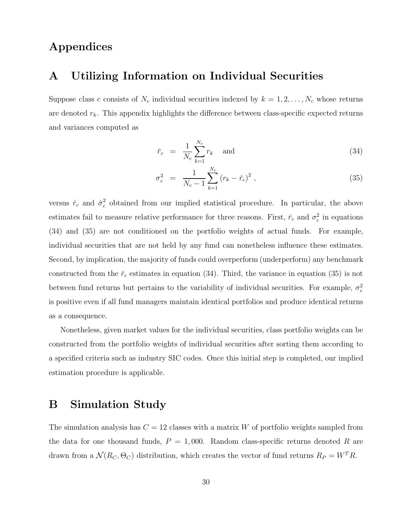### **Appendices**

### **A Utilizing Information on Individual Securities**

Suppose class c consists of  $N_c$  individual securities indexed by  $k = 1, 2, \ldots, N_c$  whose returns are denoted  $r_k$ . This appendix highlights the difference between class-specific expected returns and variances computed as

$$
\bar{r}_c = \frac{1}{N_c} \sum_{k=1}^{N_c} r_k \quad \text{and} \tag{34}
$$

$$
\sigma_c^2 = \frac{1}{N_c - 1} \sum_{k=1}^{N_c} (r_k - \bar{r}_c)^2 , \qquad (35)
$$

versus  $\hat{r}_c$  and  $\hat{\sigma}_c^2$  obtained from our implied statistical procedure. In particular, the above estimates fail to measure relative performance for three reasons. First,  $\bar{r}_c$  and  $\sigma_c^2$  in equations (34) and (35) are not conditioned on the portfolio weights of actual funds. For example, individual securities that are not held by any fund can nonetheless influence these estimates. Second, by implication, the majority of funds could overperform (underperform) any benchmark constructed from the  $\bar{r}_c$  estimates in equation (34). Third, the variance in equation (35) is not between fund returns but pertains to the variability of individual securities. For example,  $\sigma_c^2$ is positive even if all fund managers maintain identical portfolios and produce identical returns as a consequence.

Nonetheless, given market values for the individual securities, class portfolio weights can be constructed from the portfolio weights of individual securities after sorting them according to a specified criteria such as industry SIC codes. Once this initial step is completed, our implied estimation procedure is applicable.

### **B Simulation Study**

The simulation analysis has  $C = 12$  classes with a matrix W of portfolio weights sampled from the data for one thousand funds,  $P = 1,000$ . Random class-specific returns denoted R are drawn from a  $\mathcal{N}(R_C, \Theta_C)$  distribution, which creates the vector of fund returns  $R_P = W^T R$ .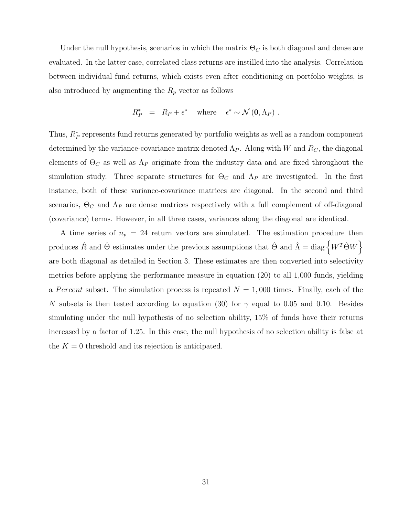Under the null hypothesis, scenarios in which the matrix  $\Theta_C$  is both diagonal and dense are evaluated. In the latter case, correlated class returns are instilled into the analysis. Correlation between individual fund returns, which exists even after conditioning on portfolio weights, is also introduced by augmenting the  $R_p$  vector as follows

$$
R_P^* = R_P + \epsilon^* \quad \text{where} \quad \epsilon^* \sim \mathcal{N}(\mathbf{0}, \Lambda_P) \ .
$$

Thus,  $R_P^*$  represents fund returns generated by portfolio weights as well as a random component determined by the variance-covariance matrix denoted  $\Lambda_P$ . Along with W and  $R_C$ , the diagonal elements of  $\Theta_C$  as well as  $\Lambda_P$  originate from the industry data and are fixed throughout the simulation study. Three separate structures for  $\Theta_C$  and  $\Lambda_P$  are investigated. In the first instance, both of these variance-covariance matrices are diagonal. In the second and third scenarios,  $\Theta_C$  and  $\Lambda_P$  are dense matrices respectively with a full complement of off-diagonal (covariance) terms. However, in all three cases, variances along the diagonal are identical.

A time series of  $n_p = 24$  return vectors are simulated. The estimation procedure then produces  $\hat{R}$  and  $\hat{\Theta}$  estimates under the previous assumptions that  $\hat{\Theta}$  and  $\hat{\Lambda} = \text{diag} \left\{ W^T \hat{\Theta} W \right\}$ are both diagonal as detailed in Section 3. These estimates are then converted into selectivity metrics before applying the performance measure in equation (20) to all 1,000 funds, yielding a Percent subset. The simulation process is repeated  $N = 1,000$  times. Finally, each of the N subsets is then tested according to equation (30) for  $\gamma$  equal to 0.05 and 0.10. Besides simulating under the null hypothesis of no selection ability, 15% of funds have their returns increased by a factor of 1.25. In this case, the null hypothesis of no selection ability is false at the  $K = 0$  threshold and its rejection is anticipated.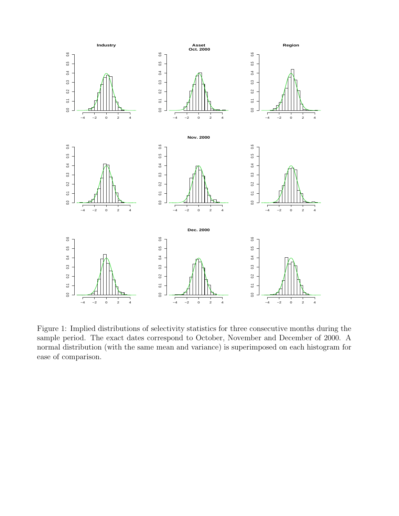

Figure 1: Implied distributions of selectivity statistics for three consecutive months during the sample period. The exact dates correspond to October, November and December of 2000. A normal distribution (with the same mean and variance) is superimposed on each histogram for ease of comparison.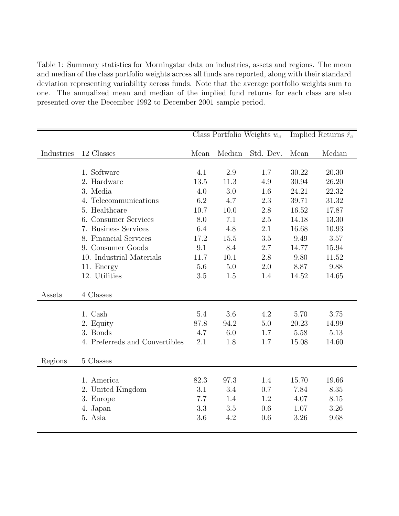Table 1: Summary statistics for Morningstar data on industries, assets and regions. The mean and median of the class portfolio weights across all funds are reported, along with their standard deviation representing variability across funds. Note that the average portfolio weights sum to one. The annualized mean and median of the implied fund returns for each class are also presented over the December 1992 to December 2001 sample period.

|            |                                | Class Portfolio Weights $w_c$ |        |           | Implied Returns $\hat{r}_c$ |        |
|------------|--------------------------------|-------------------------------|--------|-----------|-----------------------------|--------|
| Industries | 12 Classes                     | Mean                          | Median | Std. Dev. | Mean                        | Median |
|            |                                |                               |        |           |                             |        |
|            | 1. Software                    | 4.1                           | 2.9    | 1.7       | 30.22                       | 20.30  |
|            | 2. Hardware                    | 13.5                          | 11.3   | 4.9       | 30.94                       | 26.20  |
|            | 3. Media                       | 4.0                           | 3.0    | 1.6       | 24.21                       | 22.32  |
|            | 4. Telecommunications          | 6.2                           | 4.7    | 2.3       | 39.71                       | 31.32  |
|            | 5. Healthcare                  | 10.7                          | 10.0   | 2.8       | 16.52                       | 17.87  |
|            | 6. Consumer Services           | 8.0                           | 7.1    | 2.5       | 14.18                       | 13.30  |
|            | 7. Business Services           | 6.4                           | 4.8    | 2.1       | 16.68                       | 10.93  |
|            | 8. Financial Services          | 17.2                          | 15.5   | 3.5       | 9.49                        | 3.57   |
|            | 9. Consumer Goods              | 9.1                           | 8.4    | 2.7       | 14.77                       | 15.94  |
|            | 10. Industrial Materials       | 11.7                          | 10.1   | 2.8       | 9.80                        | 11.52  |
|            | 11. Energy                     | 5.6                           | 5.0    | 2.0       | 8.87                        | 9.88   |
|            | 12. Utilities                  | 3.5                           | 1.5    | 1.4       | 14.52                       | 14.65  |
| Assets     | 4 Classes                      |                               |        |           |                             |        |
|            | 1. Cash                        | $5.4\,$                       | 3.6    | 4.2       | 5.70                        | 3.75   |
|            | 2. Equity                      | 87.8                          | 94.2   | 5.0       | 20.23                       | 14.99  |
|            | 3. Bonds                       | 4.7                           | 6.0    | 1.7       | 5.58                        | 5.13   |
|            | 4. Preferreds and Convertibles | 2.1                           | 1.8    | 1.7       | 15.08                       | 14.60  |
| Regions    | 5 Classes                      |                               |        |           |                             |        |
|            | 1. America                     | 82.3                          | 97.3   | 1.4       | 15.70                       | 19.66  |
|            | 2. United Kingdom              | 3.1                           | 3.4    | 0.7       | 7.84                        | 8.35   |
|            | 3. Europe                      | 7.7                           | 1.4    | 1.2       | 4.07                        | 8.15   |
|            | 4. Japan                       | 3.3                           | 3.5    | 0.6       | 1.07                        | 3.26   |
|            | 5. Asia                        | 3.6                           | 4.2    | 0.6       | 3.26                        | 9.68   |
|            |                                |                               |        |           |                             |        |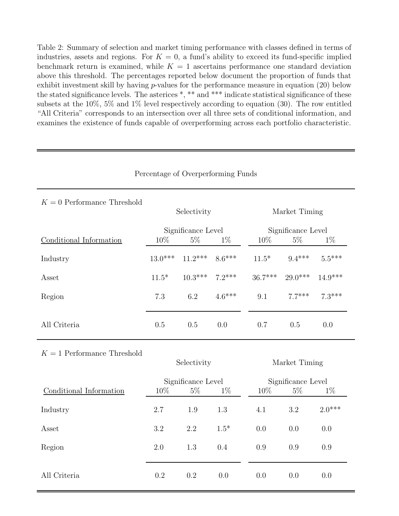Table 2: Summary of selection and market timing performance with classes defined in terms of industries, assets and regions. For  $K = 0$ , a fund's ability to exceed its fund-specific implied benchmark return is examined, while  $K = 1$  ascertains performance one standard deviation above this threshold. The percentages reported below document the proportion of funds that exhibit investment skill by having  $p$ -values for the performance measure in equation  $(20)$  below the stated significance levels. The asterices \*, \*\* and \*\*\* indicate statistical significance of these subsets at the 10%, 5% and 1% level respectively according to equation (30). The row entitled "All Criteria" corresponds to an intersection over all three sets of conditional information, and examines the existence of funds capable of overperforming across each portfolio characteristic.

| $K = 0$ Performance Threshold | Selectivity        |                    |          | Market Timing      |           |           |  |
|-------------------------------|--------------------|--------------------|----------|--------------------|-----------|-----------|--|
|                               |                    | Significance Level |          | Significance Level |           |           |  |
| Conditional Information       | 10%                | $5\%$              | $1\%$    | 10%                | $5\%$     | $1\%$     |  |
| Industry                      | $13.0***$          | $11.2***$          | $8.6***$ | $11.5*$            | $9.4***$  | $5.5***$  |  |
| Asset                         | $11.5*$            | $10.3***$          | $7.2***$ | $36.7***$          | $29.0***$ | $14.9***$ |  |
| Region                        | 7.3                | 6.2                | $4.6***$ | 9.1                | $7.7***$  | $7.3***$  |  |
| All Criteria                  | 0.5                | 0.5                | 0.0      | 0.7                | 0.5       | 0.0       |  |
| $K = 1$ Performance Threshold | Selectivity        |                    |          | Market Timing      |           |           |  |
|                               | Significance Level |                    |          | Significance Level |           |           |  |
| Conditional Information       | 10%                | $5\%$              | $1\%$    | 10%                | 5%        | $1\%$     |  |
| Industry                      | 2.7                | 1.9                | 1.3      | 4.1                | $3.2\,$   | $2.0***$  |  |
| Asset                         | 3.2                | 2.2                | $1.5*$   | 0.0                | 0.0       | 0.0       |  |
| Region                        | 2.0                | 1.3                | 0.4      | 0.9                | 0.9       | 0.9       |  |
| All Criteria                  | 0.2                | 0.2                | 0.0      | 0.0                | 0.0       | 0.0       |  |

Percentage of Overperforming Funds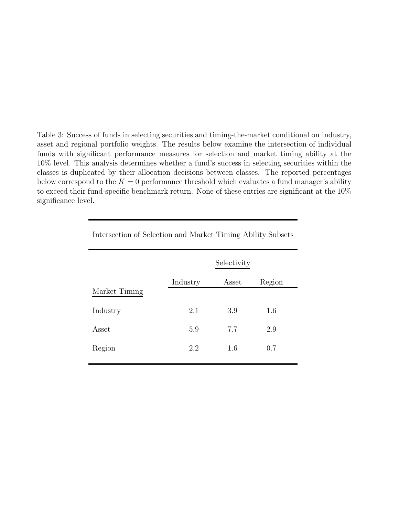Table 3: Success of funds in selecting securities and timing-the-market conditional on industry, asset and regional portfolio weights. The results below examine the intersection of individual funds with significant performance measures for selection and market timing ability at the 10% level. This analysis determines whether a fund's success in selecting securities within the classes is duplicated by their allocation decisions between classes. The reported percentages below correspond to the  $K = 0$  performance threshold which evaluates a fund manager's ability to exceed their fund-specific benchmark return. None of these entries are significant at the 10% significance level.

|               | Selectivity |       |        |  |  |
|---------------|-------------|-------|--------|--|--|
| Market Timing | Industry    | Asset | Region |  |  |
| Industry      | 2.1         | 3.9   | 1.6    |  |  |
| Asset         | 5.9         | 7.7   | 2.9    |  |  |
| Region        | 2.2         | 1.6   | 0.7    |  |  |
|               |             |       |        |  |  |

Intersection of Selection and Market Timing Ability Subsets